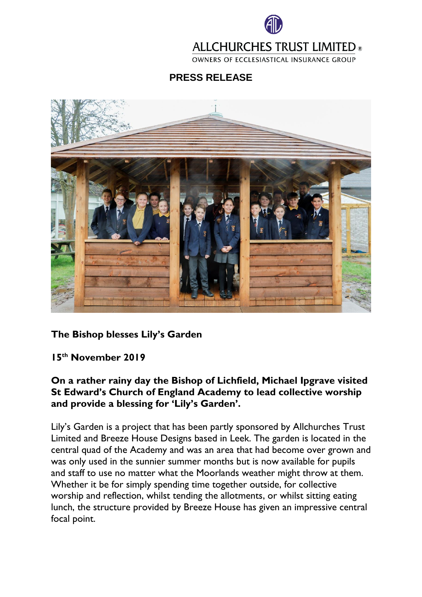

## **ALLCHURCHES TRUST LIMITED ®**

OWNERS OF ECCLESIASTICAL INSURANCE GROUP

**PRESS RELEASE**



## **The Bishop blesses Lily's Garden**

**15th November 2019**

## **On a rather rainy day the Bishop of Lichfield, Michael Ipgrave visited St Edward's Church of England Academy to lead collective worship and provide a blessing for 'Lily's Garden'.**

Lily's Garden is a project that has been partly sponsored by Allchurches Trust Limited and Breeze House Designs based in Leek. The garden is located in the central quad of the Academy and was an area that had become over grown and was only used in the sunnier summer months but is now available for pupils and staff to use no matter what the Moorlands weather might throw at them. Whether it be for simply spending time together outside, for collective worship and reflection, whilst tending the allotments, or whilst sitting eating lunch, the structure provided by Breeze House has given an impressive central focal point.